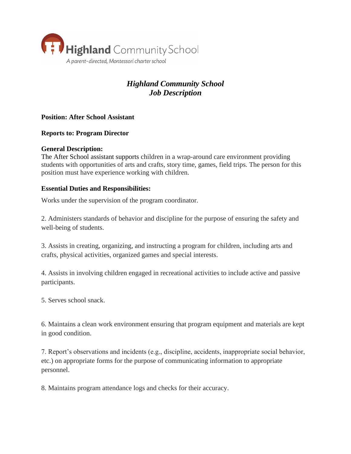

# *Highland Community School Job Description*

# **Position: After School Assistant**

## **Reports to: Program Director**

#### **General Description:**

The After School assistant supports children in a wrap-around care environment providing students with opportunities of arts and crafts, story time, games, field trips. The person for this position must have experience working with children.

## **Essential Duties and Responsibilities:**

Works under the supervision of the program coordinator.

2. Administers standards of behavior and discipline for the purpose of ensuring the safety and well-being of students.

3. Assists in creating, organizing, and instructing a program for children, including arts and crafts, physical activities, organized games and special interests.

4. Assists in involving children engaged in recreational activities to include active and passive participants.

5. Serves school snack.

6. Maintains a clean work environment ensuring that program equipment and materials are kept in good condition.

7. Report's observations and incidents (e.g., discipline, accidents, inappropriate social behavior, etc.) on appropriate forms for the purpose of communicating information to appropriate personnel.

8. Maintains program attendance logs and checks for their accuracy.